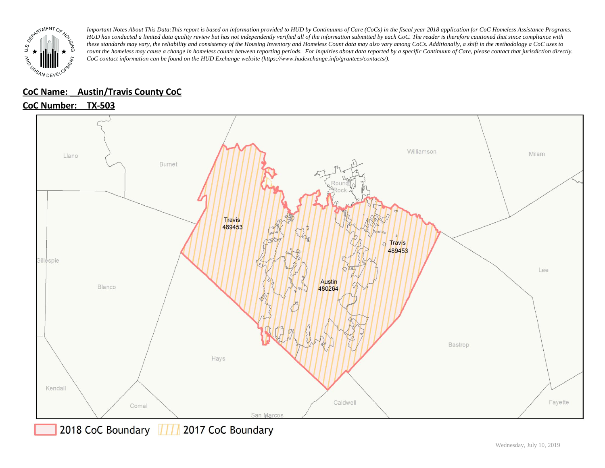

### **CoC Name: \_\_ Austin/Travis County CoC**

## **CoC Number: TX-503**



2018 CoC Boundary || || 2017 CoC Boundary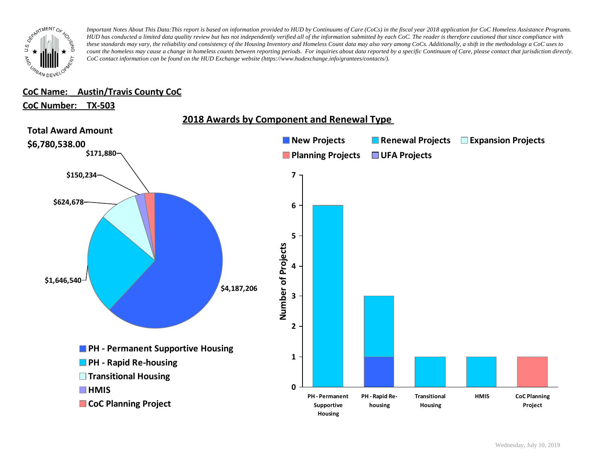

### **CoC Name: \_\_ Austin/Travis County CoC**

### **CoC Number: TX-503**

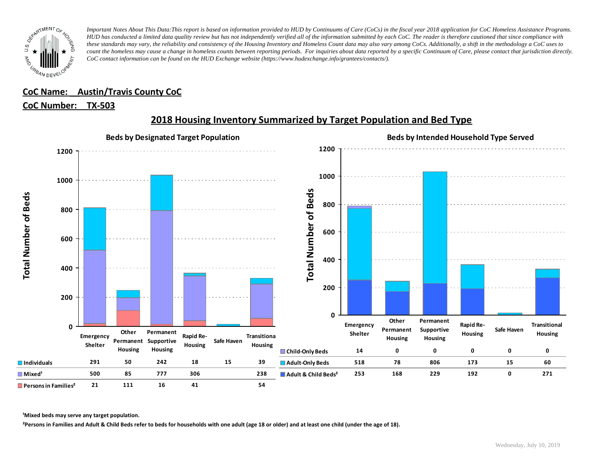

## **CoC Name: \_\_ Austin/Travis County CoC**

### **CoC Number: TX-503**



# **2018 Housing Inventory Summarized by Target Population and Bed Type**

**¹Mixed beds may serve any target population.**

**²Persons in Families and Adult & Child Beds refer to beds for households with one adult (age 18 or older) and at least one child (under the age of 18).**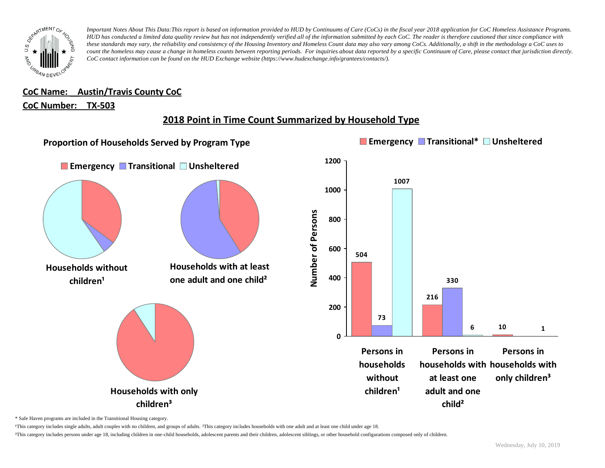

# **CoC Name: \_\_ Austin/Travis County CoC**

### **CoC Number: TX-503**

## **2018 Point in Time Count Summarized by Household Type**



\* Safe Haven programs are included in the Transitional Housing category.

¹This category includes single adults, adult couples with no children, and groups of adults. ²This category includes households with one adult and at least one child under age 18.

<sup>3</sup>This category includes persons under age 18, including children in one-child households, adolescent parents and their children, adolescent siblings, or other household configurations composed only of children.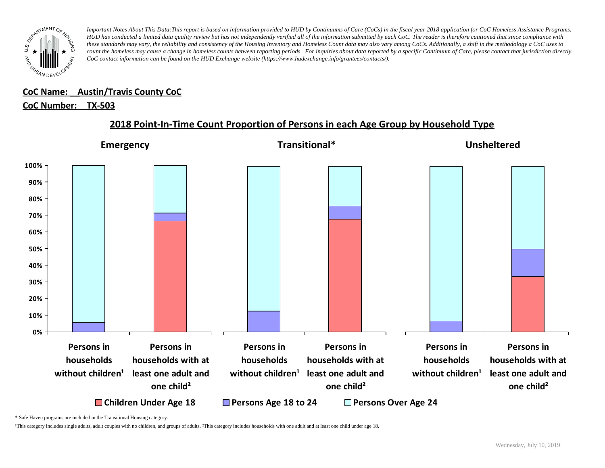

#### **CoC Name: \_\_ Austin/Travis County CoC** ¹This category includes single adults, adult couples with no children, and groups of adults. ²This category includes households with one adult and at least one child under age 18.

## <u>CoC Number: TX-503</u>

## **2018 Point-In-Time Count Proportion of Persons in each Age Group by Household Type**



\* Safe Haven programs are included in the Transitional Housing category.

¹This category includes single adults, adult couples with no children, and groups of adults. ²This category includes households with one adult and at least one child under age 18.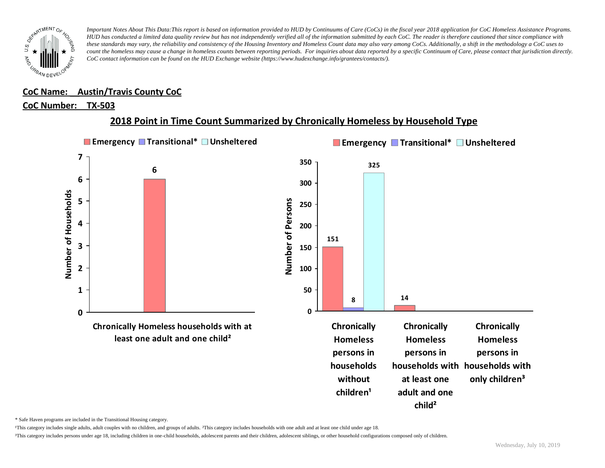

### **CoC Name: \_\_ Austin/Travis County CoC**

### **CoC Number: TX-503**

## **2018 Point in Time Count Summarized by Chronically Homeless by Household Type**



\* Safe Haven programs are included in the Transitional Housing category.

¹This category includes single adults, adult couples with no children, and groups of adults. ²This category includes households with one adult and at least one child under age 18.

³This category includes persons under age 18, including children in one-child households, adolescent parents and their children, adolescent siblings, or other household configurations composed only of children.